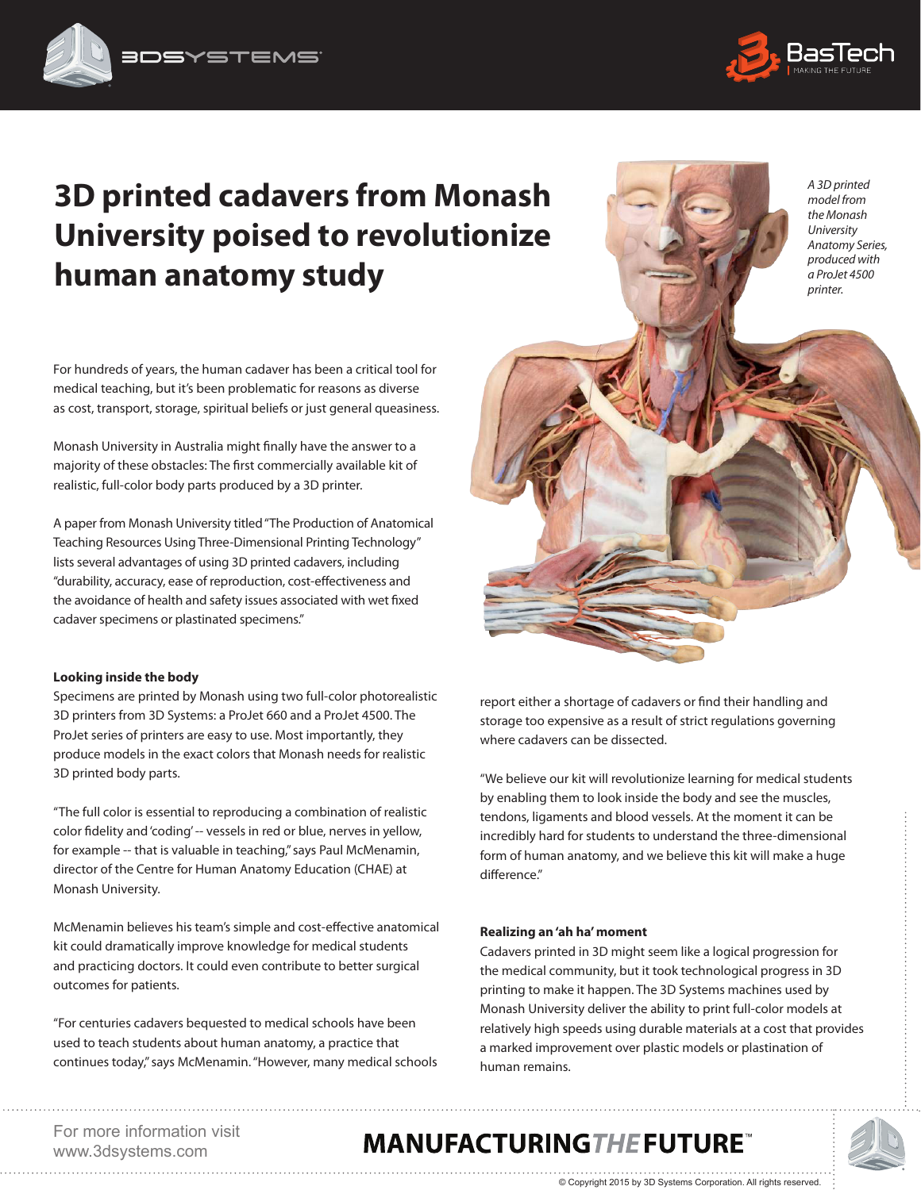

*A 3D printed model from the Monash University Anatomy Series, produced with a ProJet 4500 printer.*

# **3D printed cadavers from Monash University poised to revolutionize human anatomy study**

For hundreds of years, the human cadaver has been a critical tool for medical teaching, but it's been problematic for reasons as diverse as cost, transport, storage, spiritual beliefs or just general queasiness.

Monash University in Australia might finally have the answer to a majority of these obstacles: The first commercially available kit of realistic, full-color body parts produced by a 3D printer.

A paper from Monash University titled "The Production of Anatomical Teaching Resources Using Three-Dimensional Printing Technology" lists several advantages of using 3D printed cadavers, including "durability, accuracy, ease of reproduction, cost-effectiveness and the avoidance of health and safety issues associated with wet fixed cadaver specimens or plastinated specimens."

#### **Looking inside the body**

Specimens are printed by Monash using two full-color photorealistic 3D printers from 3D Systems: a ProJet 660 and a ProJet 4500. The ProJet series of printers are easy to use. Most importantly, they produce models in the exact colors that Monash needs for realistic 3D printed body parts.

"The full color is essential to reproducing a combination of realistic color fidelity and 'coding' -- vessels in red or blue, nerves in yellow, for example -- that is valuable in teaching," says Paul McMenamin, director of the Centre for Human Anatomy Education (CHAE) at Monash University.

McMenamin believes his team's simple and cost-effective anatomical kit could dramatically improve knowledge for medical students and practicing doctors. It could even contribute to better surgical outcomes for patients.

"For centuries cadavers bequested to medical schools have been used to teach students about human anatomy, a practice that continues today," says McMenamin. "However, many medical schools report either a shortage of cadavers or find their handling and storage too expensive as a result of strict regulations governing where cadavers can be dissected.

"We believe our kit will revolutionize learning for medical students by enabling them to look inside the body and see the muscles, tendons, ligaments and blood vessels. At the moment it can be incredibly hard for students to understand the three-dimensional form of human anatomy, and we believe this kit will make a huge difference."

#### **Realizing an 'ah ha' moment**

Cadavers printed in 3D might seem like a logical progression for the medical community, but it took technological progress in 3D printing to make it happen. The 3D Systems machines used by Monash University deliver the ability to print full-color models at relatively high speeds using durable materials at a cost that provides a marked improvement over plastic models or plastination of human remains.

© Copyright 2015 by 3D Systems Corporation. All rights reserved.

For more information visit www.3dsystems.com 

## **MANUFACTURINGTHE FUTURE**